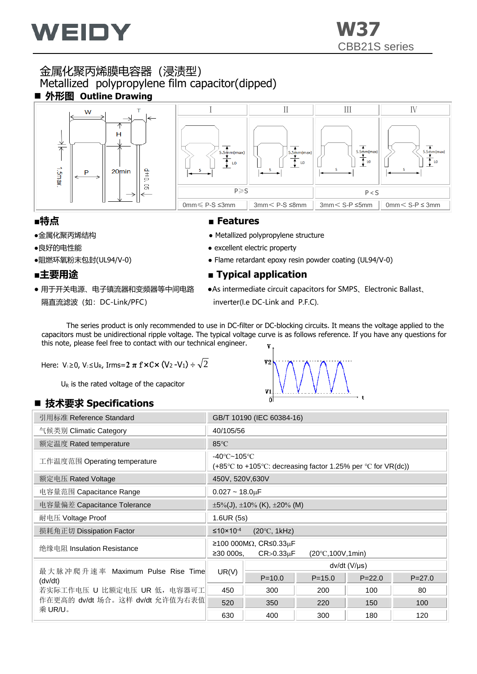

## 金属化聚丙烯膜电容器(浸渍型) Metallized polypropylene film capacitor(dipped) ■ 外形图 Outline Drawing



- 
- 
- 

隔直流滤波 (如: DC-Link/PFC) inverter(I.e DC-Link and P.F.C).

#### ■特点 ■ Features

- ●金属化聚丙烯结构 Metallized polypropylene structure
- ●良好的电性能 excellent electric property
- ●阻燃环氧粉末包封(UL94/V-0) → Flame retardant epoxy resin powder coating (UL94/V-0)

### ■主要用途 ■ Typical application

● 用于开关电源、电子镇流器和变频器等中间电路 ● As intermediate circuit capacitors for SMPS、Electronic Ballast、

 $V<sub>2</sub>$ 

 $V<sub>1</sub>$  $\overline{0}$ 

 The series product is only recommended to use in DC-filter or DC-blocking circuits. It means the voltage applied to the capacitors must be unidirectional ripple voltage. The typical voltage curve is as follows reference. If you have any questions for this note, please feel free to contact with our technical engineer. ÿ

Here: V1≥0, V2≤UR, Irms=**2 π** f**×**C**×**(V<sup>2</sup> -V1)÷ 2

 $U_R$  is the rated voltage of the capacitor

### ◼ **技术要求 Specifications**

| 引用标准 Reference Standard                     | GB/T 10190 (IEC 60384-16)                                                                                  |                                                                             |            |            |            |  |  |  |  |
|---------------------------------------------|------------------------------------------------------------------------------------------------------------|-----------------------------------------------------------------------------|------------|------------|------------|--|--|--|--|
| 气候类别 Climatic Category                      | 40/105/56                                                                                                  |                                                                             |            |            |            |  |  |  |  |
| 额定温度 Rated temperature                      | $85^{\circ}$ C                                                                                             |                                                                             |            |            |            |  |  |  |  |
| 工作温度范围 Operating temperature                | $-40^{\circ}$ C $-105^{\circ}$ C<br>$(+85^{\circ}$ C to +105°C: decreasing factor 1.25% per °C for VR(dc)) |                                                                             |            |            |            |  |  |  |  |
| 额定电压 Rated Voltage                          | 450V, 520V, 630V                                                                                           |                                                                             |            |            |            |  |  |  |  |
| 电容量范围 Capacitance Range                     | $0.027 - 18.0 \mu F$                                                                                       |                                                                             |            |            |            |  |  |  |  |
| 电容量偏差 Capacitance Tolerance                 | $\pm 5\%$ (J), $\pm 10\%$ (K), $\pm 20\%$ (M)                                                              |                                                                             |            |            |            |  |  |  |  |
| 耐电压 Voltage Proof                           | 1.6UR(5s)                                                                                                  |                                                                             |            |            |            |  |  |  |  |
| 损耗角正切 Dissipation Factor                    | ≤10×10 <sup>-4</sup><br>$(20^{\circ}C, 1kHz)$                                                              |                                                                             |            |            |            |  |  |  |  |
| 绝缘电阻 Insulation Resistance                  | ≥30000s.                                                                                                   | $≥100000MΩ$ , CR≤0.33μF<br>$CR > 0.33 \mu F$<br>$(20^{\circ}C, 100V, 1min)$ |            |            |            |  |  |  |  |
|                                             |                                                                                                            | $dv/dt$ (V/ $\mu s$ )                                                       |            |            |            |  |  |  |  |
| 最大脉冲爬升速率 Maximum Pulse Rise Time<br>(dv/dt) | UR(V)                                                                                                      | $P = 10.0$                                                                  | $P = 15.0$ | $P = 22.0$ | $P = 27.0$ |  |  |  |  |
| 若实际工作电压 U 比额定电压 UR 低,电容器可工                  | 450                                                                                                        | 300                                                                         | 200        | 100        | 80         |  |  |  |  |
| 作在更高的 dv/dt 场合。这样 dv/dt 允许值为右表值             | 520                                                                                                        | 350                                                                         | 220        | 150        | 100        |  |  |  |  |
| 乘 UR/U。                                     | 630                                                                                                        | 400                                                                         | 300        | 180        | 120        |  |  |  |  |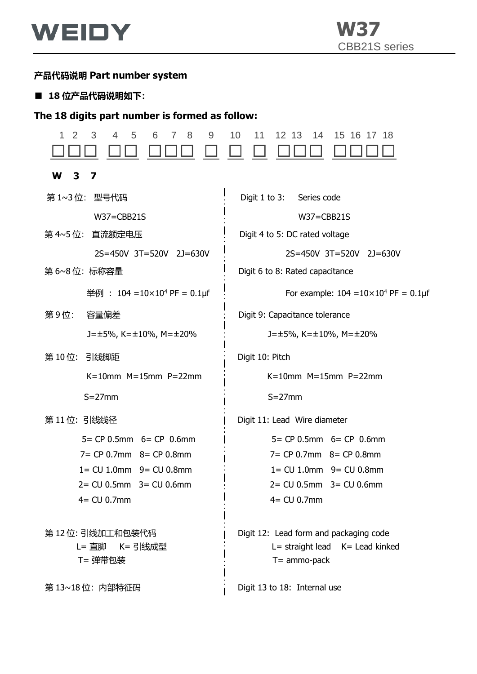

# **产品代码说明 Part number system**

■ 18 位产品代码说明如下:

# **The 18 digits part number is formed as follow:**

| W<br>3<br>7<br>第 1~3位: 型号代码<br>Digit $1$ to $3:$<br>Series code<br>W37=CBB21S<br>$W37 = CBB21S$<br>第 4~5位:<br>直流额定电压<br>Digit 4 to 5: DC rated voltage<br>2S=450V 3T=520V 2J=630V<br>2S=450V 3T=520V 2J=630V<br>第 6~8 位: 标称容量<br>Digit 6 to 8: Rated capacitance<br>举例: $104 = 10 \times 10^4$ PF = 0.1µf<br>第9位:<br>容量偏差<br>Digit 9: Capacitance tolerance<br>$J = \pm 5\%$ , K= $\pm 10\%$ , M= $\pm 20\%$<br>$J = \pm 5\%$ , K= $\pm 10\%$ , M= $\pm 20\%$<br>第10位: 引线脚距<br>Digit 10: Pitch<br>$K=10$ mm $M=15$ mm $P=22$ mm<br>$K=10$ mm M=15mm P=22mm<br>$S = 27$ mm<br>$S = 27$ mm<br>第11位:引线线径<br>Digit 11: Lead Wire diameter<br>$5 = CP 0.5$ mm $6 = CP 0.6$ mm<br>$5 = CP 0.5$ mm $6 = CP 0.6$ mm<br>$7 = CP 0.7$ mm $8 = CP 0.8$ mm<br>7= CP 0.7mm 8= CP 0.8mm<br>$1 = CU 1.0mm$ 9 = $CU 0.8mm$<br>$1 = CU 1.0mm$ 9 = $CU 0.8mm$<br>$2 = CU 0.5mm$ 3 = $CU 0.6mm$<br>$2 = CU 0.5mm$ 3 = $CU 0.6mm$<br>$4 = CU 0.7mm$<br>$4 = CU 0.7$ mm<br>第12位:引线加工和包装代码<br>Digit 12: Lead form and packaging code<br>L= 直脚 K= 引线成型<br>$L =$ straight lead $K =$ Lead kinked<br>T= 弹带包装<br>$T =$ ammo-pack | 2<br>3<br>5<br>6<br>$\overline{4}$<br>7<br>8<br>9 | 10<br>11<br>12 13<br>14<br>15 16 17 18         |
|--------------------------------------------------------------------------------------------------------------------------------------------------------------------------------------------------------------------------------------------------------------------------------------------------------------------------------------------------------------------------------------------------------------------------------------------------------------------------------------------------------------------------------------------------------------------------------------------------------------------------------------------------------------------------------------------------------------------------------------------------------------------------------------------------------------------------------------------------------------------------------------------------------------------------------------------------------------------------------------------------------------------------------------------------------------------------------------------------------|---------------------------------------------------|------------------------------------------------|
|                                                                                                                                                                                                                                                                                                                                                                                                                                                                                                                                                                                                                                                                                                                                                                                                                                                                                                                                                                                                                                                                                                        |                                                   |                                                |
|                                                                                                                                                                                                                                                                                                                                                                                                                                                                                                                                                                                                                                                                                                                                                                                                                                                                                                                                                                                                                                                                                                        |                                                   |                                                |
|                                                                                                                                                                                                                                                                                                                                                                                                                                                                                                                                                                                                                                                                                                                                                                                                                                                                                                                                                                                                                                                                                                        |                                                   |                                                |
|                                                                                                                                                                                                                                                                                                                                                                                                                                                                                                                                                                                                                                                                                                                                                                                                                                                                                                                                                                                                                                                                                                        |                                                   |                                                |
|                                                                                                                                                                                                                                                                                                                                                                                                                                                                                                                                                                                                                                                                                                                                                                                                                                                                                                                                                                                                                                                                                                        |                                                   |                                                |
|                                                                                                                                                                                                                                                                                                                                                                                                                                                                                                                                                                                                                                                                                                                                                                                                                                                                                                                                                                                                                                                                                                        |                                                   |                                                |
|                                                                                                                                                                                                                                                                                                                                                                                                                                                                                                                                                                                                                                                                                                                                                                                                                                                                                                                                                                                                                                                                                                        |                                                   | For example: $104 = 10 \times 10^4$ PF = 0.1µf |
|                                                                                                                                                                                                                                                                                                                                                                                                                                                                                                                                                                                                                                                                                                                                                                                                                                                                                                                                                                                                                                                                                                        |                                                   |                                                |
|                                                                                                                                                                                                                                                                                                                                                                                                                                                                                                                                                                                                                                                                                                                                                                                                                                                                                                                                                                                                                                                                                                        |                                                   |                                                |
|                                                                                                                                                                                                                                                                                                                                                                                                                                                                                                                                                                                                                                                                                                                                                                                                                                                                                                                                                                                                                                                                                                        |                                                   |                                                |
|                                                                                                                                                                                                                                                                                                                                                                                                                                                                                                                                                                                                                                                                                                                                                                                                                                                                                                                                                                                                                                                                                                        |                                                   |                                                |
|                                                                                                                                                                                                                                                                                                                                                                                                                                                                                                                                                                                                                                                                                                                                                                                                                                                                                                                                                                                                                                                                                                        |                                                   |                                                |
|                                                                                                                                                                                                                                                                                                                                                                                                                                                                                                                                                                                                                                                                                                                                                                                                                                                                                                                                                                                                                                                                                                        |                                                   |                                                |
|                                                                                                                                                                                                                                                                                                                                                                                                                                                                                                                                                                                                                                                                                                                                                                                                                                                                                                                                                                                                                                                                                                        |                                                   |                                                |
|                                                                                                                                                                                                                                                                                                                                                                                                                                                                                                                                                                                                                                                                                                                                                                                                                                                                                                                                                                                                                                                                                                        |                                                   |                                                |
|                                                                                                                                                                                                                                                                                                                                                                                                                                                                                                                                                                                                                                                                                                                                                                                                                                                                                                                                                                                                                                                                                                        |                                                   |                                                |
|                                                                                                                                                                                                                                                                                                                                                                                                                                                                                                                                                                                                                                                                                                                                                                                                                                                                                                                                                                                                                                                                                                        |                                                   |                                                |
|                                                                                                                                                                                                                                                                                                                                                                                                                                                                                                                                                                                                                                                                                                                                                                                                                                                                                                                                                                                                                                                                                                        |                                                   |                                                |
|                                                                                                                                                                                                                                                                                                                                                                                                                                                                                                                                                                                                                                                                                                                                                                                                                                                                                                                                                                                                                                                                                                        |                                                   |                                                |
| 第 13~18位: 内部特征码<br>Digit 13 to 18: Internal use                                                                                                                                                                                                                                                                                                                                                                                                                                                                                                                                                                                                                                                                                                                                                                                                                                                                                                                                                                                                                                                        |                                                   |                                                |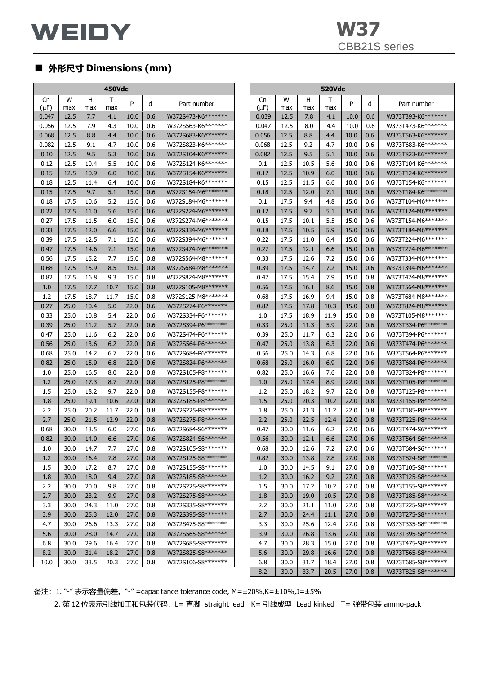# ■ **外形尺寸 Dimensions (mm)**

|           |        |      | <b>450Vdc</b> |      |     |                    | 520Vdc    |        |      |      |      |     |                     |
|-----------|--------|------|---------------|------|-----|--------------------|-----------|--------|------|------|------|-----|---------------------|
| Cn        | W      | H.   | Τ             | P    | d   | Part number        | Cn        | W      | H.   | Τ    | P    | d   | Part number         |
| $(\mu F)$ | max    | max  | max           |      |     |                    | $(\mu F)$ | max    | max  | max  |      |     |                     |
| 0.047     | 12.5   | 7.7  | 4.1           | 10.0 | 0.6 | W372S473-K6******* | 0.039     | 12.5   | 7.8  | 4.1  | 10.0 | 0.6 | W373T393-K6*******  |
| 0.056     | 12.5   | 7.9  | 4.3           | 10.0 | 0.6 | W372S563-K6******* | 0.047     | 12.5   | 8.0  | 4.4  | 10.0 | 0.6 | W373T473-K6*******  |
| 0.068     | 12.5   | 8.8  | 4.4           | 10.0 | 0.6 | W372S683-K6******* | 0.056     | 12.5   | 8.8  | 4.4  | 10.0 | 0.6 | W373T563-K6*******  |
| 0.082     | 12.5   | 9.1  | 4.7           | 10.0 | 0.6 | W372S823-K6******* | 0.068     | 12.5   | 9.2  | 4.7  | 10.0 | 0.6 | W373T683-K6*******  |
| 0.10      | 12.5   | 9.5  | 5.3           | 10.0 | 0.6 | W372S104-K6******* | 0.082     | 12.5   | 9.5  | 5.1  | 10.0 | 0.6 | W373T823-K6*******  |
| 0.12      | 12.5   | 10.4 | 5.5           | 10.0 | 0.6 | W372S124-K6******* | 0.1       | 12.5   | 10.5 | 5.6  | 10.0 | 0.6 | W373T104-K6*******  |
| 0.15      | 12.5   | 10.9 | 6.0           | 10.0 | 0.6 | W372S154-K6******* | 0.12      | 12.5   | 10.9 | 6.0  | 10.0 | 0.6 | W373T124-K6*******  |
| 0.18      | 12.5   | 11.4 | 6.4           | 10.0 | 0.6 | W372S184-K6******* | 0.15      | 12.5   | 11.5 | 6.6  | 10.0 | 0.6 | W373T154-K6*******  |
| 0.15      | 17.5   | 9.7  | 5.1           | 15.0 | 0.6 | W372S154-M6******* | 0.18      | 12.5   | 12.0 | 7.1  | 10.0 | 0.6 | W373T184-K6*******  |
| 0.18      | 17.5   | 10.6 | 5.2           | 15.0 | 0.6 | W372S184-M6******* | 0.1       | 17.5   | 9.4  | 4.8  | 15.0 | 0.6 | W373T104-M6*******  |
| 0.22      | 17.5   | 11.0 | 5.6           | 15.0 | 0.6 | W372S224-M6******* | 0.12      | 17.5   | 9.7  | 5.1  | 15.0 | 0.6 | W373T124-M6*******  |
| 0.27      | 17.5   | 11.5 | 6.0           | 15.0 | 0.6 | W372S274-M6******* | 0.15      | 17.5   | 10.1 | 5.5  | 15.0 | 0.6 | W373T154-M6*******  |
| 0.33      | 17.5   | 12.0 | 6.6           | 15.0 | 0.6 | W372S334-M6******* | 0.18      | 17.5   | 10.5 | 5.9  | 15.0 | 0.6 | W373T184-M6*******  |
| 0.39      | 17.5   | 12.5 | 7.1           | 15.0 | 0.6 | W372S394-M6******* | 0.22      | 17.5   | 11.0 | 6.4  | 15.0 | 0.6 | W373T224-M6*******  |
| 0.47      | 17.5   | 14.6 | 7.1           | 15.0 | 0.6 | W372S474-M6******* | 0.27      | 17.5   | 12.1 | 6.6  | 15.0 | 0.6 | W373T274-M6*******  |
| 0.56      | 17.5   | 15.2 | 7.7           | 15.0 | 0.8 | W372S564-M8******* | 0.33      | 17.5   | 12.6 | 7.2  | 15.0 | 0.6 | W373T334-M6*******  |
| 0.68      | 17.5   | 15.9 | 8.5           | 15.0 | 0.8 | W372S684-M8******* | 0.39      | 17.5   | 14.7 | 7.2  | 15.0 | 0.6 | W373T394-M6*******  |
| 0.82      | 17.5   | 16.8 | 9.3           | 15.0 | 0.8 | W372S824-M8******* | 0.47      | 17.5   | 15.4 | 7.9  | 15.0 | 0.8 | W373T474-M8*******  |
| 1.0       | 17.5   | 17.7 | 10.7          | 15.0 | 0.8 | W372S105-M8******* | 0.56      | 17.5   | 16.1 | 8.6  | 15.0 | 0.8 | W373T564-M8*******  |
| 1.2       | 17.5   | 18.7 | 11.7          | 15.0 | 0.8 | W372S125-M8******* | 0.68      | 17.5   | 16.9 | 9.4  | 15.0 | 0.8 | W373T684-M8*******  |
| 0.27      | 25.0   | 10.4 | 5.0           | 22.0 | 0.6 | W372S274-P6******* | 0.82      | 17.5   | 17.8 | 10.3 | 15.0 | 0.8 | W373T824-M8*******  |
| 0.33      | 25.0   | 10.8 | 5.4           | 22.0 | 0.6 | W372S334-P6******* | 1.0       | 17.5   | 18.9 | 11.9 | 15.0 | 0.8 | W373T105-M8*******  |
| 0.39      | 25.0   | 11.2 | 5.7           | 22.0 | 0.6 | W372S394-P6******* | 0.33      | 25.0   | 11.3 | 5.9  | 22.0 | 0.6 | W373T334-P6*******  |
| 0.47      | 25.0   | 11.6 | 6.2           | 22.0 | 0.6 | W372S474-P6******* | 0.39      | 25.0   | 11.7 | 6.3  | 22.0 | 0.6 | W373T394-P6*******  |
| 0.56      | 25.0   | 13.6 | 6.2           | 22.0 | 0.6 | W372S564-P6******* | 0.47      | 25.0   | 13.8 | 6.3  | 22.0 | 0.6 | W373T474-P6*******  |
| 0.68      | 25.0   | 14.2 | 6.7           | 22.0 | 0.6 | W372S684-P6******* | 0.56      | 25.0   | 14.3 | 6.8  | 22.0 | 0.6 | W373T564-P6*******  |
| 0.82      | 25.0   | 15.9 | 6.8           | 22.0 | 0.6 | W372S824-P6******* | 0.68      | 25.0   | 16.0 | 6.9  | 22.0 | 0.6 | W373T684-P6*******  |
| 1.0       | 25.0   | 16.5 | 8.0           | 22.0 | 0.8 | W372S105-P8******* | 0.82      | 25.0   | 16.6 | 7.6  | 22.0 | 0.8 | W373T824-P8*******  |
| 1.2       | 25.0   | 17.3 | 8.7           | 22.0 | 0.8 | W372S125-P8******* | 1.0       | 25.0   | 17.4 | 8.9  | 22.0 | 0.8 | W373T105-P8*******  |
| 1.5       | 25.0   | 18.2 | 9.7           | 22.0 | 0.8 | W372S155-P8******* | 1.2       | 25.0   | 18.2 | 9.7  | 22.0 | 0.8 | W373T125-P8*******  |
| 1.8       | 25.0   | 19.1 | 10.6          | 22.0 | 0.8 | W372S185-P8******* | 1.5       | 25.0   | 20.3 | 10.2 | 22.0 | 0.8 | W373T155-P8*******  |
| 2.2       | 25.0   | 20.2 | 11.7          | 22.0 | 0.8 | W372S225-P8******* | 1.8       | 25.0   | 21.3 | 11.2 | 22.0 | 0.8 | W373T185-P8*******  |
| 2.7       | 25.0   | 21.5 | 12.9          | 22.0 | 0.8 | W372S275-P8******* | 2.2       | 25.0   | 22.5 | 12.4 | 22.0 | 0.8 | W373T225-P8*******  |
| 0.68      | 30.0   | 13.5 | 6.0           | 27.0 | 0.6 | W372S684-S6******* | 0.47      | 30.0   | 11.6 | 6.2  | 27.0 | 0.6 | W373T474-S6*******  |
| 0.82      | $30.0$ | 14.0 | 6.6           | 27.0 | 0.6 | W372S824-S6******* | 0.56      | $30.0$ | 12.1 | 6.6  | 27.0 | 0.6 | W373T564-S6******** |
| 1.0       | 30.0   | 14.7 | 7.7           | 27.0 | 0.8 | W372S105-S8******* | 0.68      | 30.0   | 12.6 | 7.2  | 27.0 | 0.6 | W373T684-S6*******  |
| 1.2       | 30.0   | 16.4 | 7.8           | 27.0 | 0.8 | W372S125-S8******* | 0.82      | 30.0   | 13.8 | 7.8  | 27.0 | 0.8 | W373T824-S8*******  |
| $1.5\,$   | 30.0   | 17.2 | 8.7           | 27.0 | 0.8 | W372S155-S8******* | 1.0       | 30.0   | 14.5 | 9.1  | 27.0 | 0.8 | W373T105-S8*******  |
| 1.8       | 30.0   | 18.0 | 9.4           | 27.0 | 0.8 | W372S185-S8******* | 1.2       | 30.0   | 16.2 | 9.2  | 27.0 | 0.8 | W373T125-S8*******  |
| 2.2       | 30.0   | 20.0 | 9.8           | 27.0 | 0.8 | W372S225-S8******* | 1.5       | 30.0   | 17.2 | 10.2 | 27.0 | 0.8 | W373T155-S8*******  |
| 2.7       | 30.0   | 23.2 | 9.9           | 27.0 | 0.8 | W372S275-S8******* | 1.8       | 30.0   | 19.0 | 10.5 | 27.0 | 0.8 | W373T185-S8*******  |
| 3.3       | 30.0   | 24.3 | 11.0          | 27.0 | 0.8 | W372S335-S8******* | 2.2       | 30.0   | 21.1 | 11.0 | 27.0 | 0.8 | W373T225-S8*******  |
| 3.9       | 30.0   | 25.3 | 12.0          | 27.0 | 0.8 | W372S395-S8******* | 2.7       | 30.0   | 24.4 | 11.1 | 27.0 | 0.8 | W373T275-S8*******  |
| 4.7       | 30.0   | 26.6 | 13.3          | 27.0 | 0.8 | W372S475-S8******* | 3.3       | 30.0   | 25.6 | 12.4 | 27.0 | 0.8 | W373T335-S8*******  |
| 5.6       | 30.0   | 28.0 | 14.7          | 27.0 | 0.8 | W372S565-S8******* | 3.9       | 30.0   | 26.8 | 13.6 | 27.0 | 0.8 | W373T395-S8*******  |
| 6.8       | 30.0   | 29.6 | 16.4          | 27.0 | 0.8 | W372S685-S8******* | 4.7       | 30.0   | 28.3 | 15.0 | 27.0 | 0.8 | W373T475-S8*******  |
| 8.2       | 30.0   | 31.4 | 18.2          | 27.0 | 0.8 | W372S825-S8******* | 5.6       | 30.0   | 29.8 | 16.6 | 27.0 | 0.8 | W373T565-S8*******  |
| 10.0      | 30.0   | 33.5 | 20.3          | 27.0 | 0.8 | W372S106-S8******* | 6.8       | 30.0   | 31.7 | 18.4 | 27.0 | 0.8 | W373T685-S8*******  |
|           |        |      |               |      |     |                    | 8.2       | 30.0   | 33.7 | 20.5 | 27.0 | 0.8 | W373T825-S8*******  |

备注:1. "-" 表示容量偏差。"-" =capacitance tolerance code, M=±20%,K=±10%,J=±5%

2. 第 12 位表示引线加工和包装代码, L= 直脚 straight lead K= 引线成型 Lead kinked T= 弹带包装 ammo-pack